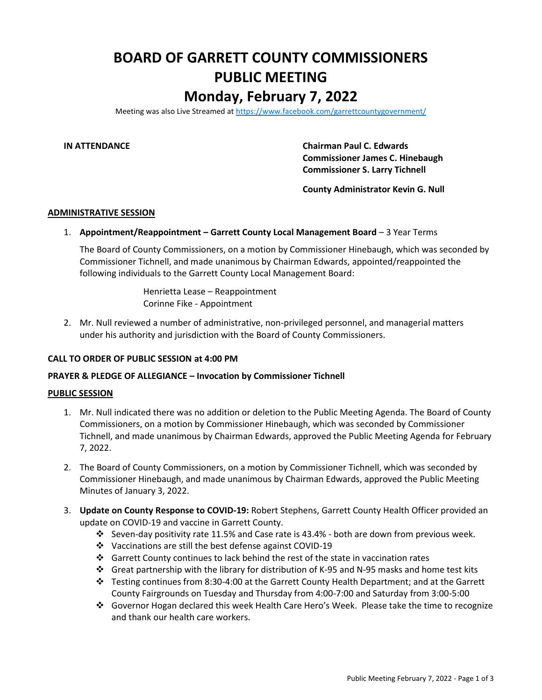# **BOARD OF GARRETT COUNTY COMMISSIONERS PUBLIC MEETING Monday, February 7, 2022**

Meeting was also Live Streamed a[t https://www.facebook.com/garrettcountygovernment/](https://www.facebook.com/garrettcountygovernment/)

**IN ATTENDANCE Chairman Paul C. Edwards Commissioner James C. Hinebaugh Commissioner S. Larry Tichnell**

**County Administrator Kevin G. Null**

## **ADMINISTRATIVE SESSION**

## 1. **Appointment/Reappointment – Garrett County Local Management Board** – 3 Year Terms

The Board of County Commissioners, on a motion by Commissioner Hinebaugh, which was seconded by Commissioner Tichnell, and made unanimous by Chairman Edwards, appointed/reappointed the following individuals to the Garrett County Local Management Board:

> Henrietta Lease – Reappointment Corinne Fike - Appointment

2. Mr. Null reviewed a number of administrative, non-privileged personnel, and managerial matters under his authority and jurisdiction with the Board of County Commissioners.

#### **CALL TO ORDER OF PUBLIC SESSION at 4:00 PM**

### **PRAYER & PLEDGE OF ALLEGIANCE – Invocation by Commissioner Tichnell**

#### **PUBLIC SESSION**

- 1. Mr. Null indicated there was no addition or deletion to the Public Meeting Agenda. The Board of County Commissioners, on a motion by Commissioner Hinebaugh, which was seconded by Commissioner Tichnell, and made unanimous by Chairman Edwards, approved the Public Meeting Agenda for February 7, 2022.
- 2. The Board of County Commissioners, on a motion by Commissioner Tichnell, which was seconded by Commissioner Hinebaugh, and made unanimous by Chairman Edwards, approved the Public Meeting Minutes of January 3, 2022.
- 3. **Update on County Response to COVID-19:** Robert Stephens, Garrett County Health Officer provided an update on COVID-19 and vaccine in Garrett County.
	- ❖ Seven-day positivity rate 11.5% and Case rate is 43.4% both are down from previous week.
	- ❖ Vaccinations are still the best defense against COVID-19
	- ❖ Garrett County continues to lack behind the rest of the state in vaccination rates
	- ❖ Great partnership with the library for distribution of K-95 and N-95 masks and home test kits
	- ❖ Testing continues from 8:30-4:00 at the Garrett County Health Department; and at the Garrett County Fairgrounds on Tuesday and Thursday from 4:00-7:00 and Saturday from 3:00-5:00
	- ❖ Governor Hogan declared this week Health Care Hero's Week. Please take the time to recognize and thank our health care workers.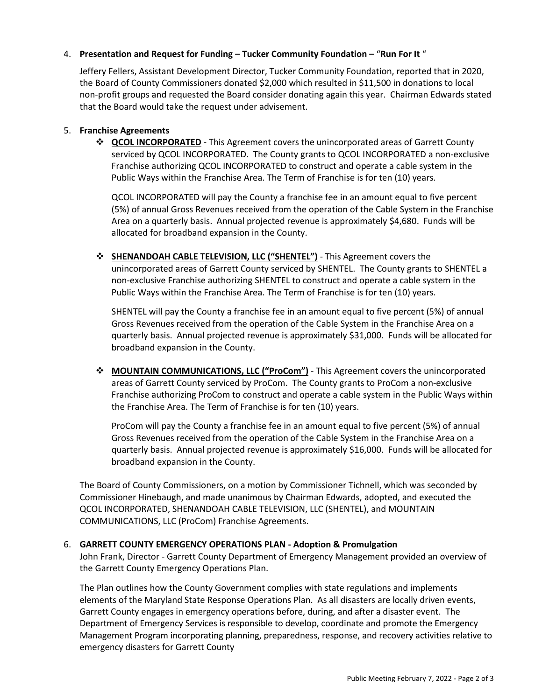# 4. **Presentation and Request for Funding – Tucker Community Foundation –** "**Run For It** "

Jeffery Fellers, Assistant Development Director, Tucker Community Foundation, reported that in 2020, the Board of County Commissioners donated \$2,000 which resulted in \$11,500 in donations to local non-profit groups and requested the Board consider donating again this year. Chairman Edwards stated that the Board would take the request under advisement.

# 5. **Franchise Agreements**

❖ **QCOL INCORPORATED** - This Agreement covers the unincorporated areas of Garrett County serviced by QCOL INCORPORATED. The County grants to QCOL INCORPORATED a non-exclusive Franchise authorizing QCOL INCORPORATED to construct and operate a cable system in the Public Ways within the Franchise Area. The Term of Franchise is for ten (10) years.

QCOL INCORPORATED will pay the County a franchise fee in an amount equal to five percent (5%) of annual Gross Revenues received from the operation of the Cable System in the Franchise Area on a quarterly basis. Annual projected revenue is approximately \$4,680. Funds will be allocated for broadband expansion in the County.

❖ **SHENANDOAH CABLE TELEVISION, LLC ("SHENTEL")** - This Agreement covers the unincorporated areas of Garrett County serviced by SHENTEL. The County grants to SHENTEL a non-exclusive Franchise authorizing SHENTEL to construct and operate a cable system in the Public Ways within the Franchise Area. The Term of Franchise is for ten (10) years.

SHENTEL will pay the County a franchise fee in an amount equal to five percent (5%) of annual Gross Revenues received from the operation of the Cable System in the Franchise Area on a quarterly basis. Annual projected revenue is approximately \$31,000. Funds will be allocated for broadband expansion in the County.

❖ **MOUNTAIN COMMUNICATIONS, LLC ("ProCom")** - This Agreement covers the unincorporated areas of Garrett County serviced by ProCom. The County grants to ProCom a non-exclusive Franchise authorizing ProCom to construct and operate a cable system in the Public Ways within the Franchise Area. The Term of Franchise is for ten (10) years.

ProCom will pay the County a franchise fee in an amount equal to five percent (5%) of annual Gross Revenues received from the operation of the Cable System in the Franchise Area on a quarterly basis. Annual projected revenue is approximately \$16,000. Funds will be allocated for broadband expansion in the County.

The Board of County Commissioners, on a motion by Commissioner Tichnell, which was seconded by Commissioner Hinebaugh, and made unanimous by Chairman Edwards, adopted, and executed the QCOL INCORPORATED, SHENANDOAH CABLE TELEVISION, LLC (SHENTEL), and MOUNTAIN COMMUNICATIONS, LLC (ProCom) Franchise Agreements.

# 6. **GARRETT COUNTY EMERGENCY OPERATIONS PLAN - Adoption & Promulgation**

John Frank, Director - Garrett County Department of Emergency Management provided an overview of the Garrett County Emergency Operations Plan.

The Plan outlines how the County Government complies with state regulations and implements elements of the Maryland State Response Operations Plan. As all disasters are locally driven events, Garrett County engages in emergency operations before, during, and after a disaster event. The Department of Emergency Services is responsible to develop, coordinate and promote the Emergency Management Program incorporating planning, preparedness, response, and recovery activities relative to emergency disasters for Garrett County